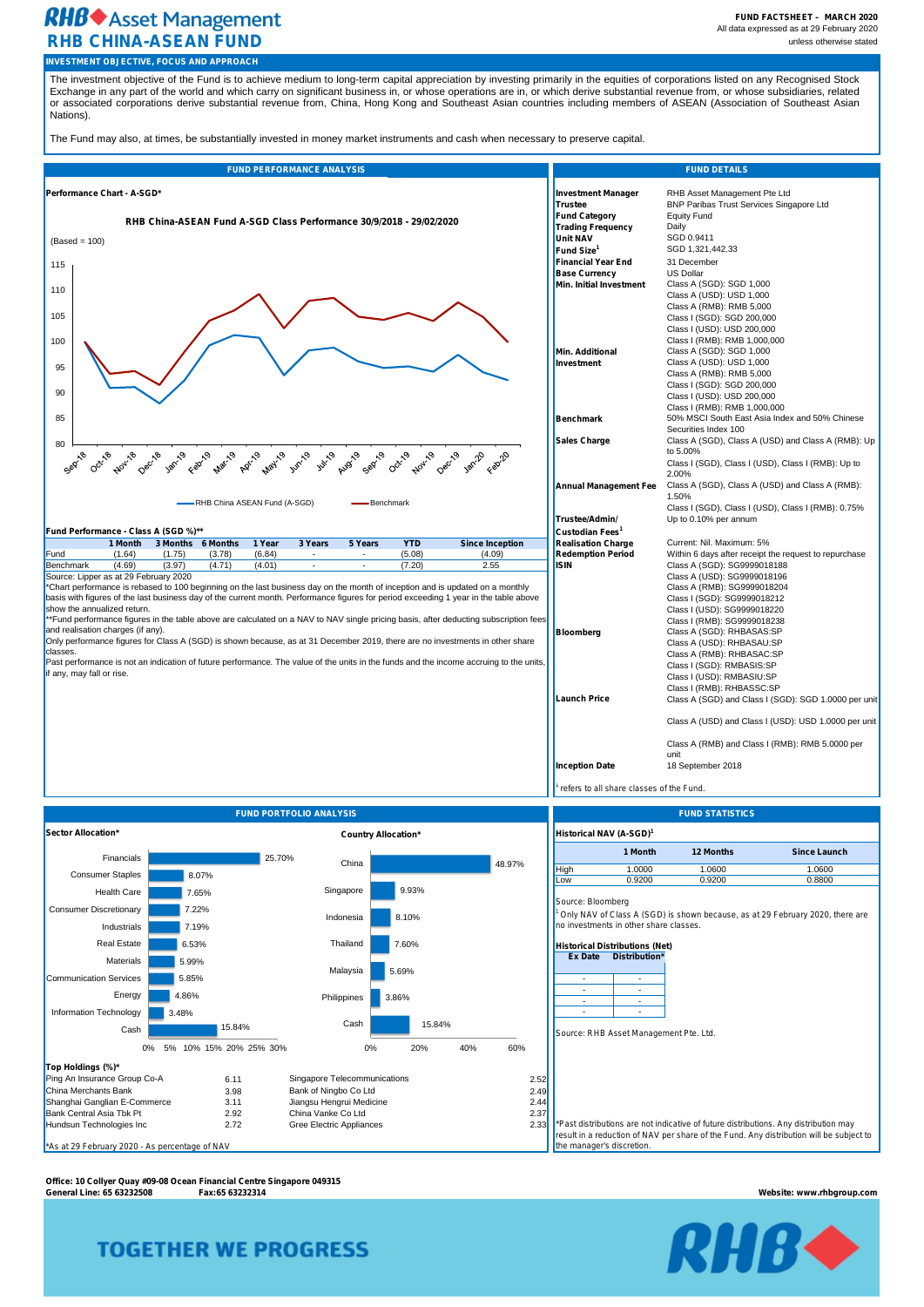**FUND FACTSHEET – MARCH 2020** All data expressed as at 29 February 2020

# **RHB**<sup>+</sup> Asset Management **RHB CHINA-ASEAN FUND** unless otherwise stated

*1 refers to all share classes of the Fund.*

**Office: 10 Collyer Quay #09-08 Ocean Financial Centre Singapore 049315 General Line: 65 63232508 Fax:65 63232314 Website: www.rhbgroup.com**

# **TOGETHER WE PROGRESS**



| Performance Chart - A-SGD*<br>RHB Asset Management Pte Ltd<br><b>Investment Manager</b><br><b>BNP Paribas Trust Services Singapore Ltd</b><br><b>Trustee</b><br><b>Equity Fund</b><br><b>Fund Category</b><br>RHB China-ASEAN Fund A-SGD Class Performance 30/9/2018 - 29/02/2020<br><b>Trading Frequency</b><br>Daily<br>SGD 0.9411<br><b>Unit NAV</b><br>SGD 1,321,442.33<br>Fund Size <sup>1</sup><br>31 December<br><b>Financial Year End</b><br><b>US Dollar</b><br><b>Base Currency</b><br><b>Min. Initial Investment</b><br>Class A (SGD): SGD 1,000<br>Class A (USD): USD 1,000<br>Class A (RMB): RMB 5,000<br>Class I (SGD): SGD 200,000<br>Class I (USD): USD 200,000<br>Class I (RMB): RMB 1,000,000<br>Min. Additional<br>Class A (SGD): SGD 1,000<br>Class A (USD): USD 1,000<br>Investment<br>Class A (RMB): RMB 5,000<br>Class I (SGD): SGD 200,000<br>Class I (USD): USD 200,000<br>Class I (RMB): RMB 1,000,000<br>50% MSCI South East Asia Index and 50% Chinese<br>Benchmark<br>Securities Index 100<br><b>Sales Charge</b><br>Class A (SGD), Class A (USD) and Class A (RMB): Up<br>to 5.00%<br>Febrica<br><b>Mary</b> 19<br>ADrill<br>Jan-19<br><b>May</b> 19<br>Jun-19<br>Decrib<br>July 19<br>Augio<br>Sepring<br>Octring<br>Jan-20<br>Seprito<br>Octri <sup>20</sup><br>Noving<br>Deciles<br><b>Nov-18</b><br>Febric<br>Class I (SGD), Class I (USD), Class I (RMB): Up to<br>2.00%<br><b>Annual Management Fee</b><br>Class A (SGD), Class A (USD) and Class A (RMB):<br>1.50%<br>-RHB China ASEAN Fund (A-SGD)<br>Benchmark<br>Class I (SGD), Class I (USD), Class I (RMB): 0.75%<br>Up to 0.10% per annum<br>Trustee/Admin/<br>Fund Performance - Class A (SGD %)**<br>Custodian Fees <sup>1</sup><br>1 Year<br>3 Years<br>5 Years<br><b>YTD</b><br>3 Months 6 Months<br><b>Realisation Charge</b><br>1 Month<br><b>Since Inception</b><br>Current: Nil. Maximum: 5%<br><b>Redemption Period</b><br>(1.64)<br>(3.78)<br>(5.08)<br>(4.09)<br>Within 6 days after receipt the request to repurchase<br>Fund<br>(1.75)<br>(6.84)<br><b>ISIN</b><br>Class A (SGD): SG9999018188<br>(4.69)<br>(4.01)<br>(3.97)<br>(4.71)<br>Benchmark<br>(7.20)<br>2.55<br>Source: Lipper as at 29 February 2020<br>Class A (USD): SG9999018196<br>*Chart performance is rebased to 100 beginning on the last business day on the month of inception and is updated on a monthly<br>Class A (RMB): SG9999018204<br>basis with figures of the last business day of the current month. Performance figures for period exceeding 1 year in the table above<br>Class I (SGD): SG9999018212<br>show the annualized return.<br>Class I (USD): SG9999018220<br>**Fund performance figures in the table above are calculated on a NAV to NAV single pricing basis, after deducting subscription fees<br>Class I (RMB): SG9999018238<br>and realisation charges (if any).<br>Class A (SGD): RHBASAS:SP<br>Bloomberg<br>Only performance figures for Class A (SGD) is shown because, as at 31 December 2019, there are no investments in other share<br>Class A (USD): RHBASAU:SP<br>Class A (RMB): RHBASAC:SP<br>Past performance is not an indication of future performance. The value of the units in the funds and the income accruing to the units,<br>Class I (SGD): RMBASIS:SP<br>Class I (USD): RMBASIU:SP<br>Class I (RMB): RHBASSC:SP<br><b>Launch Price</b><br>Class A (RMB) and Class I (RMB): RMB 5.0000 per<br>unit<br><b>Inception Date</b><br>18 September 2018 |                                      |  | <b>FUND PERFORMANCE ANALYSIS</b> |  |  | <b>FUND DETAILS</b> |
|-----------------------------------------------------------------------------------------------------------------------------------------------------------------------------------------------------------------------------------------------------------------------------------------------------------------------------------------------------------------------------------------------------------------------------------------------------------------------------------------------------------------------------------------------------------------------------------------------------------------------------------------------------------------------------------------------------------------------------------------------------------------------------------------------------------------------------------------------------------------------------------------------------------------------------------------------------------------------------------------------------------------------------------------------------------------------------------------------------------------------------------------------------------------------------------------------------------------------------------------------------------------------------------------------------------------------------------------------------------------------------------------------------------------------------------------------------------------------------------------------------------------------------------------------------------------------------------------------------------------------------------------------------------------------------------------------------------------------------------------------------------------------------------------------------------------------------------------------------------------------------------------------------------------------------------------------------------------------------------------------------------------------------------------------------------------------------------------------------------------------------------------------------------------------------------------------------------------------------------------------------------------------------------------------------------------------------------------------------------------------------------------------------------------------------------------------------------------------------------------------------------------------------------------------------------------------------------------------------------------------------------------------------------------------------------------------------------------------------------------------------------------------------------------------------------------------------------------------------------------------------------------------------------------------------------------------------------------------------------------------------------------------------------------------------------------------------------------------------------------------------------------------------------------------------------------------------------------------------------------------------------------------------------------------------------------------------------------------------------------------------------------------------------------------------------------------------------------------------|--------------------------------------|--|----------------------------------|--|--|---------------------|
|                                                                                                                                                                                                                                                                                                                                                                                                                                                                                                                                                                                                                                                                                                                                                                                                                                                                                                                                                                                                                                                                                                                                                                                                                                                                                                                                                                                                                                                                                                                                                                                                                                                                                                                                                                                                                                                                                                                                                                                                                                                                                                                                                                                                                                                                                                                                                                                                                                                                                                                                                                                                                                                                                                                                                                                                                                                                                                                                                                                                                                                                                                                                                                                                                                                                                                                                                                                                                                                                             | $(Based = 100)$<br>115<br>110<br>105 |  |                                  |  |  |                     |
|                                                                                                                                                                                                                                                                                                                                                                                                                                                                                                                                                                                                                                                                                                                                                                                                                                                                                                                                                                                                                                                                                                                                                                                                                                                                                                                                                                                                                                                                                                                                                                                                                                                                                                                                                                                                                                                                                                                                                                                                                                                                                                                                                                                                                                                                                                                                                                                                                                                                                                                                                                                                                                                                                                                                                                                                                                                                                                                                                                                                                                                                                                                                                                                                                                                                                                                                                                                                                                                                             | 100<br>95<br>90                      |  |                                  |  |  |                     |
|                                                                                                                                                                                                                                                                                                                                                                                                                                                                                                                                                                                                                                                                                                                                                                                                                                                                                                                                                                                                                                                                                                                                                                                                                                                                                                                                                                                                                                                                                                                                                                                                                                                                                                                                                                                                                                                                                                                                                                                                                                                                                                                                                                                                                                                                                                                                                                                                                                                                                                                                                                                                                                                                                                                                                                                                                                                                                                                                                                                                                                                                                                                                                                                                                                                                                                                                                                                                                                                                             | 85                                   |  |                                  |  |  |                     |
| Class A (SGD) and Class I (SGD): SGD 1.0000 per unit<br>Class A (USD) and Class I (USD): USD 1.0000 per unit                                                                                                                                                                                                                                                                                                                                                                                                                                                                                                                                                                                                                                                                                                                                                                                                                                                                                                                                                                                                                                                                                                                                                                                                                                                                                                                                                                                                                                                                                                                                                                                                                                                                                                                                                                                                                                                                                                                                                                                                                                                                                                                                                                                                                                                                                                                                                                                                                                                                                                                                                                                                                                                                                                                                                                                                                                                                                                                                                                                                                                                                                                                                                                                                                                                                                                                                                                | 80                                   |  |                                  |  |  |                     |
|                                                                                                                                                                                                                                                                                                                                                                                                                                                                                                                                                                                                                                                                                                                                                                                                                                                                                                                                                                                                                                                                                                                                                                                                                                                                                                                                                                                                                                                                                                                                                                                                                                                                                                                                                                                                                                                                                                                                                                                                                                                                                                                                                                                                                                                                                                                                                                                                                                                                                                                                                                                                                                                                                                                                                                                                                                                                                                                                                                                                                                                                                                                                                                                                                                                                                                                                                                                                                                                                             |                                      |  |                                  |  |  |                     |
|                                                                                                                                                                                                                                                                                                                                                                                                                                                                                                                                                                                                                                                                                                                                                                                                                                                                                                                                                                                                                                                                                                                                                                                                                                                                                                                                                                                                                                                                                                                                                                                                                                                                                                                                                                                                                                                                                                                                                                                                                                                                                                                                                                                                                                                                                                                                                                                                                                                                                                                                                                                                                                                                                                                                                                                                                                                                                                                                                                                                                                                                                                                                                                                                                                                                                                                                                                                                                                                                             |                                      |  |                                  |  |  |                     |
|                                                                                                                                                                                                                                                                                                                                                                                                                                                                                                                                                                                                                                                                                                                                                                                                                                                                                                                                                                                                                                                                                                                                                                                                                                                                                                                                                                                                                                                                                                                                                                                                                                                                                                                                                                                                                                                                                                                                                                                                                                                                                                                                                                                                                                                                                                                                                                                                                                                                                                                                                                                                                                                                                                                                                                                                                                                                                                                                                                                                                                                                                                                                                                                                                                                                                                                                                                                                                                                                             |                                      |  |                                  |  |  |                     |
|                                                                                                                                                                                                                                                                                                                                                                                                                                                                                                                                                                                                                                                                                                                                                                                                                                                                                                                                                                                                                                                                                                                                                                                                                                                                                                                                                                                                                                                                                                                                                                                                                                                                                                                                                                                                                                                                                                                                                                                                                                                                                                                                                                                                                                                                                                                                                                                                                                                                                                                                                                                                                                                                                                                                                                                                                                                                                                                                                                                                                                                                                                                                                                                                                                                                                                                                                                                                                                                                             |                                      |  |                                  |  |  |                     |
|                                                                                                                                                                                                                                                                                                                                                                                                                                                                                                                                                                                                                                                                                                                                                                                                                                                                                                                                                                                                                                                                                                                                                                                                                                                                                                                                                                                                                                                                                                                                                                                                                                                                                                                                                                                                                                                                                                                                                                                                                                                                                                                                                                                                                                                                                                                                                                                                                                                                                                                                                                                                                                                                                                                                                                                                                                                                                                                                                                                                                                                                                                                                                                                                                                                                                                                                                                                                                                                                             |                                      |  |                                  |  |  |                     |
|                                                                                                                                                                                                                                                                                                                                                                                                                                                                                                                                                                                                                                                                                                                                                                                                                                                                                                                                                                                                                                                                                                                                                                                                                                                                                                                                                                                                                                                                                                                                                                                                                                                                                                                                                                                                                                                                                                                                                                                                                                                                                                                                                                                                                                                                                                                                                                                                                                                                                                                                                                                                                                                                                                                                                                                                                                                                                                                                                                                                                                                                                                                                                                                                                                                                                                                                                                                                                                                                             |                                      |  |                                  |  |  |                     |
|                                                                                                                                                                                                                                                                                                                                                                                                                                                                                                                                                                                                                                                                                                                                                                                                                                                                                                                                                                                                                                                                                                                                                                                                                                                                                                                                                                                                                                                                                                                                                                                                                                                                                                                                                                                                                                                                                                                                                                                                                                                                                                                                                                                                                                                                                                                                                                                                                                                                                                                                                                                                                                                                                                                                                                                                                                                                                                                                                                                                                                                                                                                                                                                                                                                                                                                                                                                                                                                                             | classes.                             |  |                                  |  |  |                     |
|                                                                                                                                                                                                                                                                                                                                                                                                                                                                                                                                                                                                                                                                                                                                                                                                                                                                                                                                                                                                                                                                                                                                                                                                                                                                                                                                                                                                                                                                                                                                                                                                                                                                                                                                                                                                                                                                                                                                                                                                                                                                                                                                                                                                                                                                                                                                                                                                                                                                                                                                                                                                                                                                                                                                                                                                                                                                                                                                                                                                                                                                                                                                                                                                                                                                                                                                                                                                                                                                             | if any, may fall or rise.            |  |                                  |  |  |                     |
|                                                                                                                                                                                                                                                                                                                                                                                                                                                                                                                                                                                                                                                                                                                                                                                                                                                                                                                                                                                                                                                                                                                                                                                                                                                                                                                                                                                                                                                                                                                                                                                                                                                                                                                                                                                                                                                                                                                                                                                                                                                                                                                                                                                                                                                                                                                                                                                                                                                                                                                                                                                                                                                                                                                                                                                                                                                                                                                                                                                                                                                                                                                                                                                                                                                                                                                                                                                                                                                                             |                                      |  |                                  |  |  |                     |
|                                                                                                                                                                                                                                                                                                                                                                                                                                                                                                                                                                                                                                                                                                                                                                                                                                                                                                                                                                                                                                                                                                                                                                                                                                                                                                                                                                                                                                                                                                                                                                                                                                                                                                                                                                                                                                                                                                                                                                                                                                                                                                                                                                                                                                                                                                                                                                                                                                                                                                                                                                                                                                                                                                                                                                                                                                                                                                                                                                                                                                                                                                                                                                                                                                                                                                                                                                                                                                                                             |                                      |  |                                  |  |  |                     |

|                                                                            | <b>FUND PORTFOLIO ANALYSIS</b> | <b>FUND STATISTICS</b>          |        |                                     |      |                                            |                                        |                                                                                           |                                                                                                                                                                                 |
|----------------------------------------------------------------------------|--------------------------------|---------------------------------|--------|-------------------------------------|------|--------------------------------------------|----------------------------------------|-------------------------------------------------------------------------------------------|---------------------------------------------------------------------------------------------------------------------------------------------------------------------------------|
| Sector Allocation*                                                         |                                | <b>Country Allocation*</b>      |        | Historical NAV (A-SGD) <sup>1</sup> |      |                                            |                                        |                                                                                           |                                                                                                                                                                                 |
| Financials                                                                 | 25.70%                         |                                 |        |                                     |      |                                            | 1 Month                                | <b>12 Months</b>                                                                          | <b>Since Launch</b>                                                                                                                                                             |
| <b>Consumer Staples</b>                                                    | 8.07%                          | China                           |        | 48.97%                              |      | <b>High</b>                                | 1.0000                                 | 1.0600                                                                                    | 1.0600                                                                                                                                                                          |
| <b>Health Care</b>                                                         | 7.65%                          | Singapore                       | 9.93%  |                                     |      | Low                                        | 0.9200                                 | 0.9200                                                                                    | 0.8800                                                                                                                                                                          |
| <b>Consumer Discretionary</b>                                              | 7.22%                          |                                 |        |                                     |      | Source: Bloomberg                          |                                        |                                                                                           |                                                                                                                                                                                 |
| Industrials                                                                | 7.19%                          | 8.10%<br>Indonesia              |        |                                     |      |                                            | no investments in other share classes. | $^{\prime}$ Only NAV of Class A (SGD) is shown because, as at 29 February 2020, there are |                                                                                                                                                                                 |
| <b>Real Estate</b>                                                         | 6.53%                          | Thailand                        | 7.60%  |                                     |      |                                            | <b>Historical Distributions (Net)</b>  |                                                                                           |                                                                                                                                                                                 |
| <b>Materials</b>                                                           | 5.99%                          |                                 |        |                                     |      | <b>Ex Date</b>                             | Distribution*                          |                                                                                           |                                                                                                                                                                                 |
| Communication Services                                                     | 5.85%                          | Malaysia                        | 5.69%  |                                     |      |                                            | $\blacksquare$                         |                                                                                           |                                                                                                                                                                                 |
| Energy                                                                     | 4.86%                          | Philippines                     | 3.86%  |                                     |      | $\overline{\phantom{a}}$<br>$\blacksquare$ | $\blacksquare$                         |                                                                                           |                                                                                                                                                                                 |
| Information Technology<br>3.48%                                            |                                |                                 |        |                                     |      |                                            | $\blacksquare$                         |                                                                                           |                                                                                                                                                                                 |
| Cash                                                                       | 15.84%                         | Cash                            | 15.84% |                                     |      |                                            | Source: RHB Asset Management Pte. Ltd. |                                                                                           |                                                                                                                                                                                 |
| $0\%$                                                                      | 5% 10% 15% 20% 25% 30%         | 0%                              | 20%    | 40%<br>60%                          |      |                                            |                                        |                                                                                           |                                                                                                                                                                                 |
| Top Holdings (%)*                                                          |                                |                                 |        |                                     |      |                                            |                                        |                                                                                           |                                                                                                                                                                                 |
| Ping An Insurance Group Co-A                                               | 6.11                           | Singapore Telecommunications    |        |                                     | 2.52 |                                            |                                        |                                                                                           |                                                                                                                                                                                 |
| China Merchants Bank                                                       | 3.98                           | Bank of Ningbo Co Ltd           |        |                                     |      | 2.49                                       |                                        |                                                                                           |                                                                                                                                                                                 |
| Shanghai Ganglian E-Commerce                                               | 3.11                           | Jiangsu Hengrui Medicine        |        |                                     | 2.44 |                                            |                                        |                                                                                           |                                                                                                                                                                                 |
| <b>Bank Central Asia Tbk Pt</b>                                            | 2.92                           | China Vanke Co Ltd              |        |                                     | 2.37 |                                            |                                        |                                                                                           |                                                                                                                                                                                 |
| Hundsun Technologies Inc<br>*As at 29 February 2020 - As percentage of NAV | 2.72                           | <b>Gree Electric Appliances</b> |        |                                     | 2.33 |                                            | the manager's discretion.              |                                                                                           | *Past distributions are not indicative of future distributions. Any distribution may<br>result in a reduction of NAV per share of the Fund. Any distribution will be subject to |

**INVESTMENT OBJECTIVE, FOCUS AND APPROACH**

The investment objective of the Fund is to achieve medium to long-term capital appreciation by investing primarily in the equities of corporations listed on any Recognised Stock Exchange in any part of the world and which carry on significant business in, or whose operations are in, or which derive substantial revenue from, or whose subsidiaries, related or associated corporations derive substantial revenue from, China, Hong Kong and Southeast Asian countries including members of ASEAN (Association of Southeast Asian Nations).

The Fund may also, at times, be substantially invested in money market instruments and cash when necessary to preserve capital.